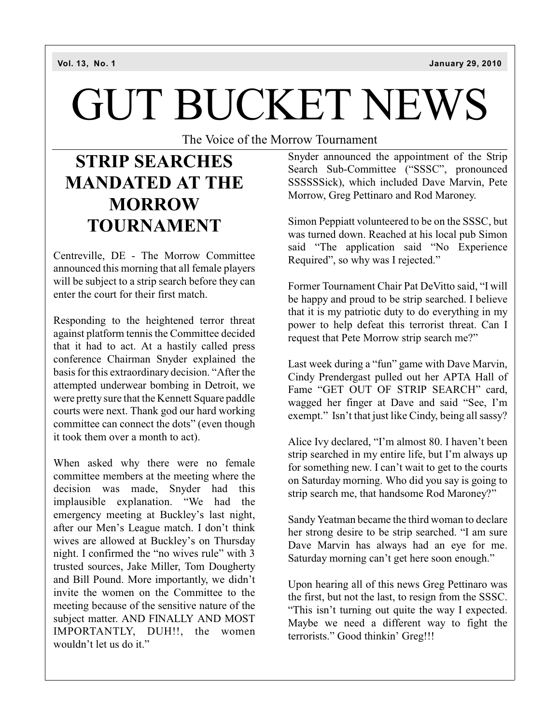# GUT BUCKET NEWS

The Voice of the Morrow Tournament

### **STRIP SEARCHES MANDATED AT THE MORROW TOURNAMENT**

Centreville, DE - The Morrow Committee announced this morning that all female players will be subject to a strip search before they can enter the court for their first match.

Responding to the heightened terror threat against platform tennis the Committee decided that it had to act. At a hastily called press conference Chairman Snyder explained the basis for this extraordinary decision. "After the attempted underwear bombing in Detroit, we were pretty sure that the Kennett Square paddle courts were next. Thank god our hard working committee can connect the dots" (even though it took them over a month to act).

When asked why there were no female committee members at the meeting where the decision was made, Snyder had this implausible explanation. "We had the emergency meeting at Buckley's last night, after our Men's League match. I don't think wives are allowed at Buckley's on Thursday night. I confirmed the "no wives rule" with 3 trusted sources, Jake Miller, Tom Dougherty and Bill Pound. More importantly, we didn't invite the women on the Committee to the meeting because of the sensitive nature of the subject matter. AND FINALLY AND MOST IMPORTANTLY, DUH!!, the women wouldn't let us do it."

Snyder announced the appointment of the Strip Search Sub-Committee ("SSSC", pronounced SSSSSSick), which included Dave Marvin, Pete Morrow, Greg Pettinaro and Rod Maroney.

Simon Peppiatt volunteered to be on the SSSC, but was turned down. Reached at his local pub Simon said "The application said "No Experience Required", so why was I rejected."

Former Tournament Chair Pat DeVitto said, "I will be happy and proud to be strip searched. I believe that it is my patriotic duty to do everything in my power to help defeat this terrorist threat. Can I request that Pete Morrow strip search me?"

Last week during a "fun" game with Dave Marvin, Cindy Prendergast pulled out her APTA Hall of Fame "GET OUT OF STRIP SEARCH" card, wagged her finger at Dave and said "See, I'm exempt." Isn't that just like Cindy, being all sassy?

Alice Ivy declared, "I'm almost 80. I haven't been strip searched in my entire life, but I'm always up for something new. I can't wait to get to the courts on Saturday morning. Who did you say is going to strip search me, that handsome Rod Maroney?"

Sandy Yeatman became the third woman to declare her strong desire to be strip searched. "I am sure Dave Marvin has always had an eye for me. Saturday morning can't get here soon enough."

Upon hearing all of this news Greg Pettinaro was the first, but not the last, to resign from the SSSC. "This isn't turning out quite the way I expected. Maybe we need a different way to fight the terrorists." Good thinkin' Greg!!!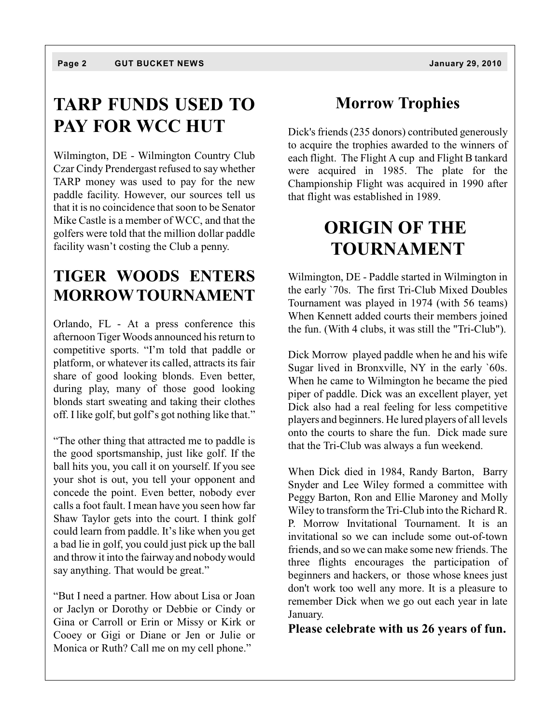#### **TARP FUNDS USED TO PAY FOR WCC HUT**

Wilmington, DE - Wilmington Country Club Czar Cindy Prendergast refused to say whether TARP money was used to pay for the new paddle facility. However, our sources tell us that it is no coincidence that soon to be Senator Mike Castle is a member of WCC, and that the golfers were told that the million dollar paddle facility wasn't costing the Club a penny.

#### **TIGER WOODS ENTERS MORROW TOURNAMENT**

Orlando, FL - At a press conference this afternoon Tiger Woods announced his return to competitive sports. "I'm told that paddle or platform, or whatever its called, attracts its fair share of good looking blonds. Even better, during play, many of those good looking blonds start sweating and taking their clothes off. I like golf, but golf's got nothing like that."

"The other thing that attracted me to paddle is the good sportsmanship, just like golf. If the ball hits you, you call it on yourself. If you see your shot is out, you tell your opponent and concede the point. Even better, nobody ever calls a foot fault. I mean have you seen how far Shaw Taylor gets into the court. I think golf could learn from paddle. It's like when you get a bad lie in golf, you could just pick up the ball and throw it into the fairway and nobody would say anything. That would be great."

"But I need a partner. How about Lisa or Joan or Jaclyn or Dorothy or Debbie or Cindy or Gina or Carroll or Erin or Missy or Kirk or Cooey or Gigi or Diane or Jen or Julie or Monica or Ruth? Call me on my cell phone."

#### **Morrow Trophies**

Dick's friends (235 donors) contributed generously to acquire the trophies awarded to the winners of each flight. The Flight A cup and Flight B tankard were acquired in 1985. The plate for the Championship Flight was acquired in 1990 after that flight was established in 1989.

#### **ORIGIN OF THE TOURNAMENT**

Wilmington, DE - Paddle started in Wilmington in the early `70s. The first Tri-Club Mixed Doubles Tournament was played in 1974 (with 56 teams) When Kennett added courts their members joined the fun. (With 4 clubs, it was still the "Tri-Club").

Dick Morrow played paddle when he and his wife Sugar lived in Bronxville, NY in the early `60s. When he came to Wilmington he became the pied piper of paddle. Dick was an excellent player, yet Dick also had a real feeling for less competitive players and beginners. He lured players of all levels onto the courts to share the fun. Dick made sure that the Tri-Club was always a fun weekend.

When Dick died in 1984, Randy Barton, Barry Snyder and Lee Wiley formed a committee with Peggy Barton, Ron and Ellie Maroney and Molly Wiley to transform the Tri-Club into the Richard R. P. Morrow Invitational Tournament. It is an invitational so we can include some out-of-town friends, and so we can make some new friends. The three flights encourages the participation of beginners and hackers, or those whose knees just don't work too well any more. It is a pleasure to remember Dick when we go out each year in late January.

**Please celebrate with us 26 years of fun.**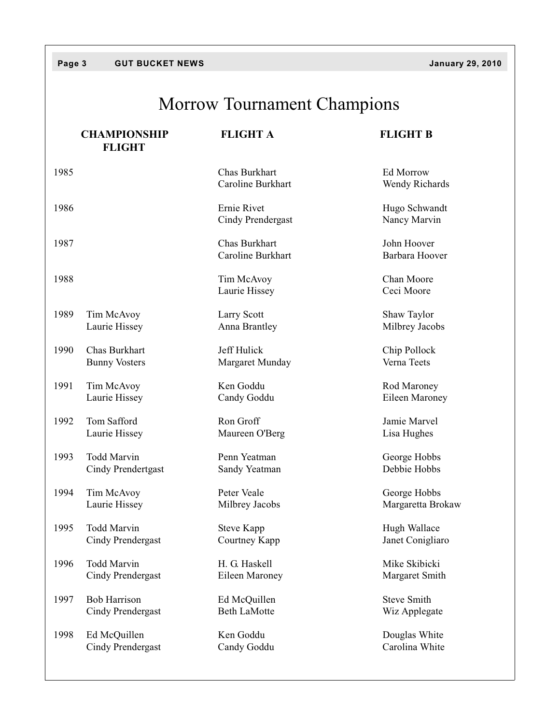## Morrow Tournament Champions

|      | <b>CHAMPIONSHIP</b><br><b>FLIGHT</b> | <b>FLIGHT A</b>                    | <b>FLIGHT B</b>               |
|------|--------------------------------------|------------------------------------|-------------------------------|
| 1985 |                                      | Chas Burkhart<br>Caroline Burkhart | Ed Morrow<br>Wendy Richards   |
| 1986 |                                      | Ernie Rivet<br>Cindy Prendergast   | Hugo Schwandt<br>Nancy Marvin |
| 1987 |                                      | Chas Burkhart<br>Caroline Burkhart | John Hoover<br>Barbara Hoover |
| 1988 |                                      | Tim McAvoy<br>Laurie Hissey        | Chan Moore<br>Ceci Moore      |
| 1989 | Tim McAvoy                           | Larry Scott                        | Shaw Taylor                   |
|      | Laurie Hissey                        | Anna Brantley                      | Milbrey Jacobs                |
| 1990 | Chas Burkhart                        | Jeff Hulick                        | Chip Pollock                  |
|      | <b>Bunny Vosters</b>                 | Margaret Munday                    | Verna Teets                   |
| 1991 | Tim McAvoy                           | Ken Goddu                          | Rod Maroney                   |
|      | Laurie Hissey                        | Candy Goddu                        | Eileen Maroney                |
| 1992 | Tom Safford                          | Ron Groff                          | Jamie Marvel                  |
|      | Laurie Hissey                        | Maureen O'Berg                     | Lisa Hughes                   |
| 1993 | <b>Todd Marvin</b>                   | Penn Yeatman                       | George Hobbs                  |
|      | Cindy Prendertgast                   | Sandy Yeatman                      | Debbie Hobbs                  |
| 1994 | Tim McAvoy                           | Peter Veale                        | George Hobbs                  |
|      | Laurie Hissey                        | Milbrey Jacobs                     | Margaretta Brokaw             |
| 1995 | <b>Todd Marvin</b>                   | <b>Steve Kapp</b>                  | Hugh Wallace                  |
|      | Cindy Prendergast                    | Courtney Kapp                      | Janet Conigliaro              |
| 1996 | Todd Marvin                          | H. G. Haskell                      | Mike Skibicki                 |
|      | <b>Cindy Prendergast</b>             | Eileen Maroney                     | Margaret Smith                |
| 1997 | <b>Bob Harrison</b>                  | Ed McQuillen                       | <b>Steve Smith</b>            |
|      | Cindy Prendergast                    | <b>Beth LaMotte</b>                | Wiz Applegate                 |
| 1998 | Ed McQuillen                         | Ken Goddu                          | Douglas White                 |
|      | <b>Cindy Prendergast</b>             | Candy Goddu                        | Carolina White                |